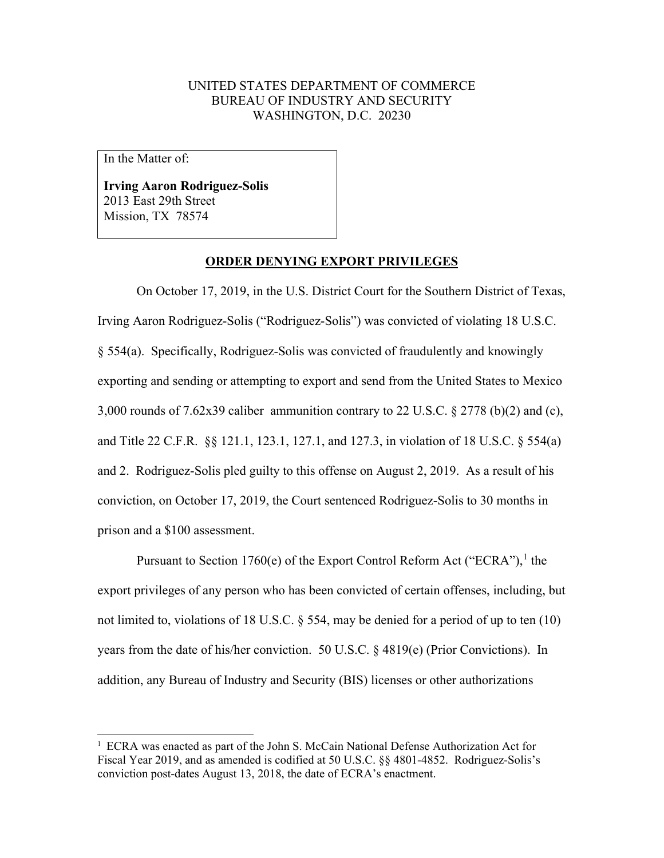## UNITED STATES DEPARTMENT OF COMMERCE BUREAU OF INDUSTRY AND SECURITY WASHINGTON, D.C. 20230

In the Matter of:

**Irving Aaron Rodriguez-Solis** 2013 East 29th Street Mission, TX 78574

## **ORDER DENYING EXPORT PRIVILEGES**

On October 17, 2019, in the U.S. District Court for the Southern District of Texas, Irving Aaron Rodriguez-Solis ("Rodriguez-Solis") was convicted of violating 18 U.S.C. § 554(a). Specifically, Rodriguez-Solis was convicted of fraudulently and knowingly exporting and sending or attempting to export and send from the United States to Mexico 3,000 rounds of 7.62x39 caliber ammunition contrary to 22 U.S.C. § 2778 (b)(2) and (c), and Title 22 C.F.R. §§ 121.1, 123.1, 127.1, and 127.3, in violation of 18 U.S.C. § 554(a) and 2. Rodriguez-Solis pled guilty to this offense on August 2, 2019. As a result of his conviction, on October 17, 2019, the Court sentenced Rodriguez-Solis to 30 months in prison and a \$100 assessment.

Pursuant to Section [1](#page-0-0)760(e) of the Export Control Reform Act ("ECRA"),<sup>1</sup> the export privileges of any person who has been convicted of certain offenses, including, but not limited to, violations of 18 U.S.C. § 554, may be denied for a period of up to ten (10) years from the date of his/her conviction. 50 U.S.C. § 4819(e) (Prior Convictions). In addition, any Bureau of Industry and Security (BIS) licenses or other authorizations

<span id="page-0-0"></span><sup>&</sup>lt;sup>1</sup> ECRA was enacted as part of the John S. McCain National Defense Authorization Act for Fiscal Year 2019, and as amended is codified at 50 U.S.C. §§ 4801-4852. Rodriguez-Solis's conviction post-dates August 13, 2018, the date of ECRA's enactment.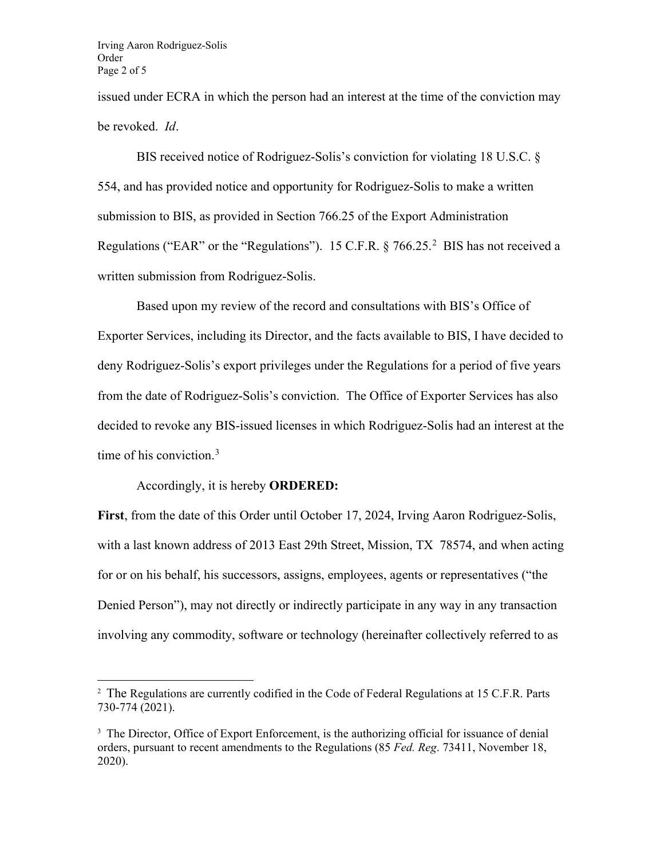issued under ECRA in which the person had an interest at the time of the conviction may be revoked. *Id*.

BIS received notice of Rodriguez-Solis's conviction for violating 18 U.S.C. § 554, and has provided notice and opportunity for Rodriguez-Solis to make a written submission to BIS, as provided in Section 766.25 of the Export Administration Regulations ("EAR" or the "Regulations"). 15 C.F.R.  $\S 766.25$  $\S 766.25$  $\S 766.25$ .<sup>2</sup> BIS has not received a written submission from Rodriguez-Solis.

Based upon my review of the record and consultations with BIS's Office of Exporter Services, including its Director, and the facts available to BIS, I have decided to deny Rodriguez-Solis's export privileges under the Regulations for a period of five years from the date of Rodriguez-Solis's conviction. The Office of Exporter Services has also decided to revoke any BIS-issued licenses in which Rodriguez-Solis had an interest at the time of his conviction.<sup>[3](#page-1-1)</sup>

## Accordingly, it is hereby **ORDERED:**

**First**, from the date of this Order until October 17, 2024, Irving Aaron Rodriguez-Solis, with a last known address of 2013 East 29th Street, Mission, TX 78574, and when acting for or on his behalf, his successors, assigns, employees, agents or representatives ("the Denied Person"), may not directly or indirectly participate in any way in any transaction involving any commodity, software or technology (hereinafter collectively referred to as

<span id="page-1-0"></span><sup>&</sup>lt;sup>2</sup> The Regulations are currently codified in the Code of Federal Regulations at 15 C.F.R. Parts 730-774 (2021).

<span id="page-1-1"></span><sup>&</sup>lt;sup>3</sup> The Director, Office of Export Enforcement, is the authorizing official for issuance of denial orders, pursuant to recent amendments to the Regulations (85 *Fed. Reg*. 73411, November 18, 2020).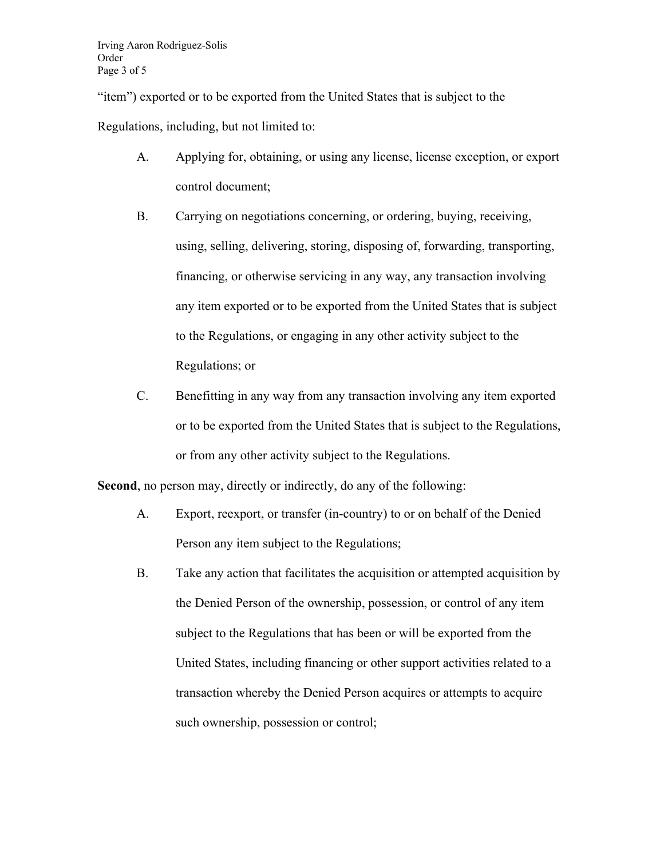"item") exported or to be exported from the United States that is subject to the Regulations, including, but not limited to:

- A. Applying for, obtaining, or using any license, license exception, or export control document;
- B. Carrying on negotiations concerning, or ordering, buying, receiving, using, selling, delivering, storing, disposing of, forwarding, transporting, financing, or otherwise servicing in any way, any transaction involving any item exported or to be exported from the United States that is subject to the Regulations, or engaging in any other activity subject to the Regulations; or
- C. Benefitting in any way from any transaction involving any item exported or to be exported from the United States that is subject to the Regulations, or from any other activity subject to the Regulations.

**Second**, no person may, directly or indirectly, do any of the following:

- A. Export, reexport, or transfer (in-country) to or on behalf of the Denied Person any item subject to the Regulations;
- B. Take any action that facilitates the acquisition or attempted acquisition by the Denied Person of the ownership, possession, or control of any item subject to the Regulations that has been or will be exported from the United States, including financing or other support activities related to a transaction whereby the Denied Person acquires or attempts to acquire such ownership, possession or control;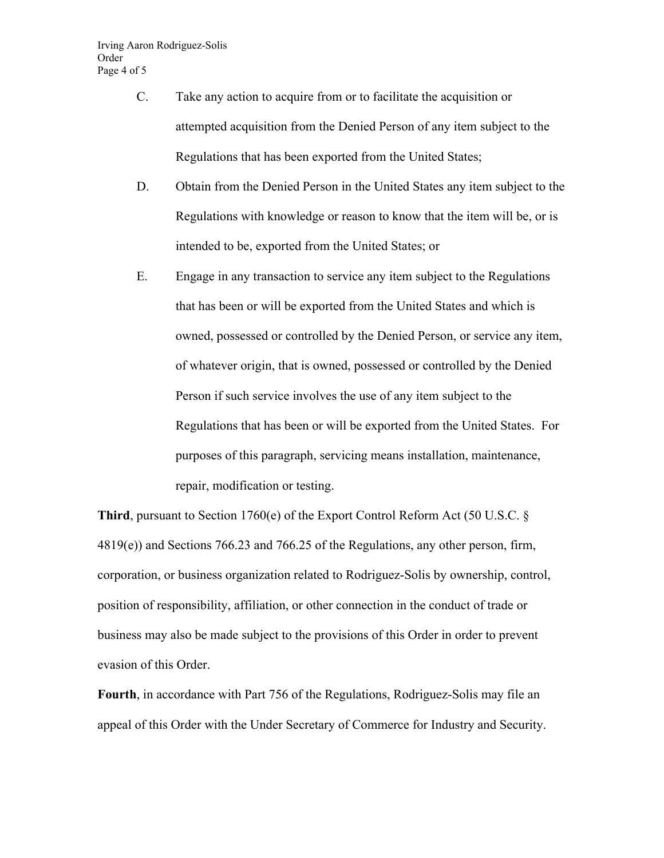- C. Take any action to acquire from or to facilitate the acquisition or attempted acquisition from the Denied Person of any item subject to the Regulations that has been exported from the United States;
- D. Obtain from the Denied Person in the United States any item subject to the Regulations with knowledge or reason to know that the item will be, or is intended to be, exported from the United States; or
- E. Engage in any transaction to service any item subject to the Regulations that has been or will be exported from the United States and which is owned, possessed or controlled by the Denied Person, or service any item, of whatever origin, that is owned, possessed or controlled by the Denied Person if such service involves the use of any item subject to the Regulations that has been or will be exported from the United States. For purposes of this paragraph, servicing means installation, maintenance, repair, modification or testing.

**Third**, pursuant to Section 1760(e) of the Export Control Reform Act (50 U.S.C. § 4819(e)) and Sections 766.23 and 766.25 of the Regulations, any other person, firm, corporation, or business organization related to Rodriguez-Solis by ownership, control, position of responsibility, affiliation, or other connection in the conduct of trade or business may also be made subject to the provisions of this Order in order to prevent evasion of this Order.

**Fourth**, in accordance with Part 756 of the Regulations, Rodriguez-Solis may file an appeal of this Order with the Under Secretary of Commerce for Industry and Security.